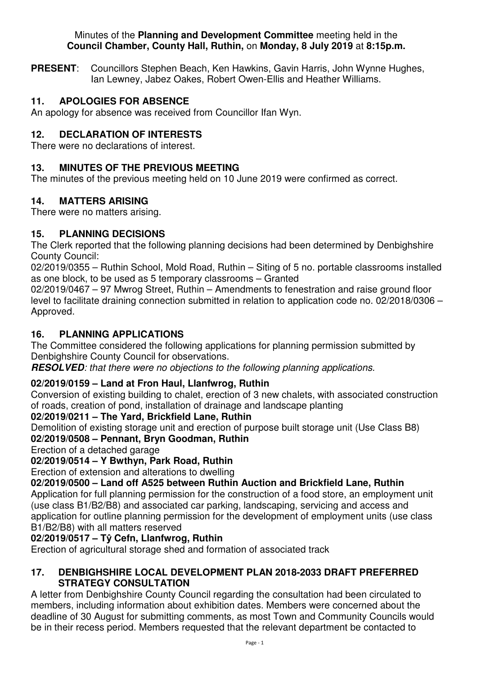#### Minutes of the **Planning and Development Committee** meeting held in the **Council Chamber, County Hall, Ruthin,** on **Monday, 8 July 2019** at **8:15p.m.**

**PRESENT**: Councillors Stephen Beach, Ken Hawkins, Gavin Harris, John Wynne Hughes, Ian Lewney, Jabez Oakes, Robert Owen-Ellis and Heather Williams.

# **11. APOLOGIES FOR ABSENCE**

An apology for absence was received from Councillor Ifan Wyn.

# **12. DECLARATION OF INTERESTS**

There were no declarations of interest.

#### **13. MINUTES OF THE PREVIOUS MEETING**

The minutes of the previous meeting held on 10 June 2019 were confirmed as correct.

## **14. MATTERS ARISING**

There were no matters arising.

## **15. PLANNING DECISIONS**

The Clerk reported that the following planning decisions had been determined by Denbighshire County Council:

02/2019/0355 – Ruthin School, Mold Road, Ruthin – Siting of 5 no. portable classrooms installed as one block, to be used as 5 temporary classrooms – Granted

02/2019/0467 – 97 Mwrog Street, Ruthin – Amendments to fenestration and raise ground floor level to facilitate draining connection submitted in relation to application code no. 02/2018/0306 – Approved.

## **16. PLANNING APPLICATIONS**

The Committee considered the following applications for planning permission submitted by Denbighshire County Council for observations.

**RESOLVED***: that there were no objections to the following planning applications.* 

## **02/2019/0159 – Land at Fron Haul, Llanfwrog, Ruthin**

Conversion of existing building to chalet, erection of 3 new chalets, with associated construction of roads, creation of pond, installation of drainage and landscape planting

#### **02/2019/0211 – The Yard, Brickfield Lane, Ruthin**

Demolition of existing storage unit and erection of purpose built storage unit (Use Class B8) **02/2019/0508 – Pennant, Bryn Goodman, Ruthin**

Erection of a detached garage

# **02/2019/0514 – Y Bwthyn, Park Road, Ruthin**

Erection of extension and alterations to dwelling

**02/2019/0500 – Land off A525 between Ruthin Auction and Brickfield Lane, Ruthin**

Application for full planning permission for the construction of a food store, an employment unit (use class B1/B2/B8) and associated car parking, landscaping, servicing and access and application for outline planning permission for the development of employment units (use class B1/B2/B8) with all matters reserved

## **02/2019/0517 – Tŷ Cefn, Llanfwrog, Ruthin**

Erection of agricultural storage shed and formation of associated track

#### **17. DENBIGHSHIRE LOCAL DEVELOPMENT PLAN 2018-2033 DRAFT PREFERRED STRATEGY CONSULTATION**

A letter from Denbighshire County Council regarding the consultation had been circulated to members, including information about exhibition dates. Members were concerned about the deadline of 30 August for submitting comments, as most Town and Community Councils would be in their recess period. Members requested that the relevant department be contacted to